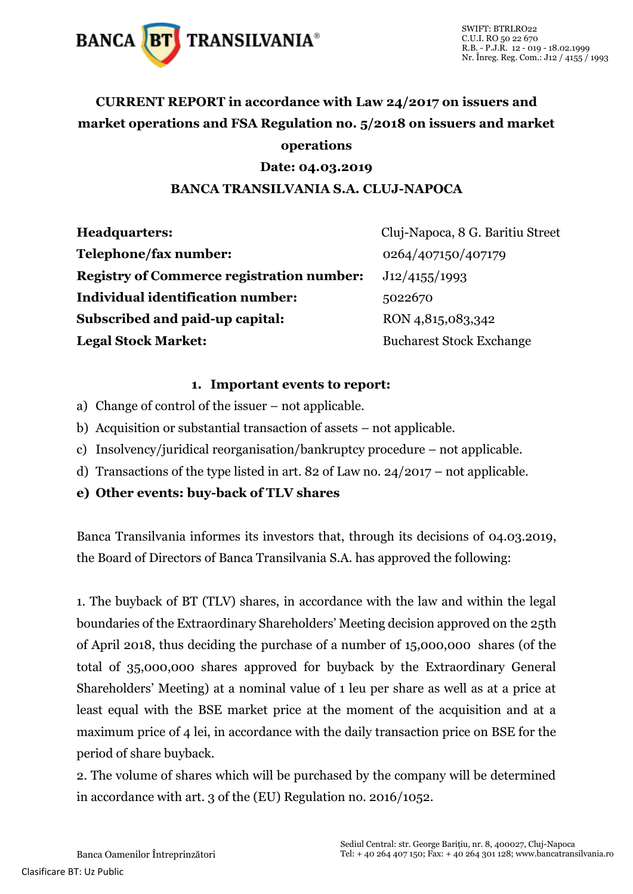

### **CURRENT REPORT in accordance with Law 24/2017 on issuers and market operations and FSA Regulation no. 5/2018 on issuers and market operations**

#### **Date: 04.03.2019**

#### **BANCA TRANSILVANIA S.A. CLUJ-NAPOCA**

| <b>Headquarters:</b>                             | Cluj-Napoca, 8 G. Baritiu Street |
|--------------------------------------------------|----------------------------------|
| Telephone/fax number:                            | 0264/407150/407179               |
| <b>Registry of Commerce registration number:</b> | J12/4155/1993                    |
| <b>Individual identification number:</b>         | 5022670                          |
| Subscribed and paid-up capital:                  | RON 4,815,083,342                |
| <b>Legal Stock Market:</b>                       | <b>Bucharest Stock Exchange</b>  |

#### **1. Important events to report:**

- a) Change of control of the issuer not applicable.
- b) Acquisition or substantial transaction of assets not applicable.
- c) Insolvency/juridical reorganisation/bankruptcy procedure not applicable.
- d) Transactions of the type listed in art. 82 of Law no. 24/2017 not applicable.
- **e) Other events: buy-back of TLV shares**

Banca Transilvania informes its investors that, through its decisions of 04.03.2019, the Board of Directors of Banca Transilvania S.A. has approved the following:

1. The buyback of BT (TLV) shares, in accordance with the law and within the legal boundaries of the Extraordinary Shareholders' Meeting decision approved on the 25th of April 2018, thus deciding the purchase of a number of 15,000,000 shares (of the total of 35,000,000 shares approved for buyback by the Extraordinary General Shareholders' Meeting) at a nominal value of 1 leu per share as well as at a price at least equal with the BSE market price at the moment of the acquisition and at a maximum price of 4 lei, in accordance with the daily transaction price on BSE for the period of share buyback.

2. The volume of shares which will be purchased by the company will be determined in accordance with art. 3 of the (EU) Regulation no. 2016/1052.